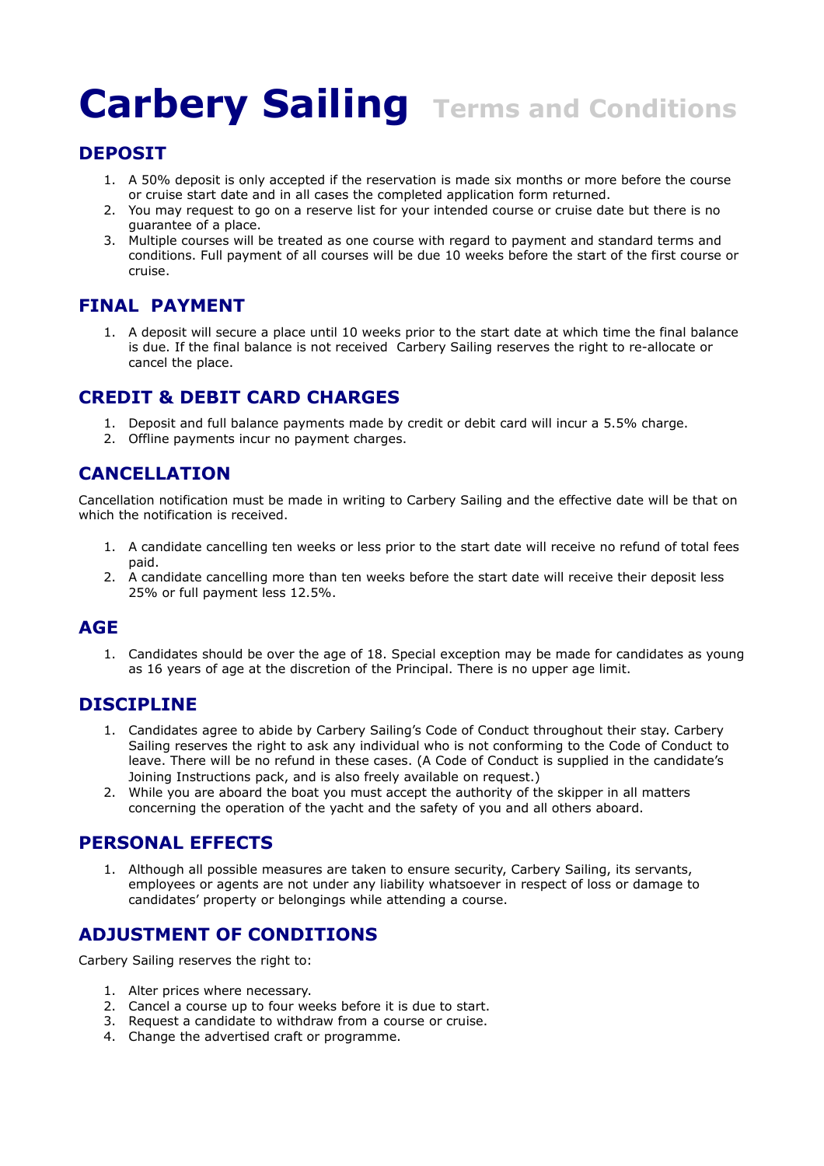## **Carbery Sailing Terms and Conditions**

#### **DEPOSIT**

- 1. A 50% deposit is only accepted if the reservation is made six months or more before the course or cruise start date and in all cases the completed application form returned.
- 2. You may request to go on a reserve list for your intended course or cruise date but there is no guarantee of a place.
- 3. Multiple courses will be treated as one course with regard to payment and standard terms and conditions. Full payment of all courses will be due 10 weeks before the start of the first course or cruise.

#### **FINAL PAYMENT**

1. A deposit will secure a place until 10 weeks prior to the start date at which time the final balance is due. If the final balance is not received Carbery Sailing reserves the right to re-allocate or cancel the place.

#### **CREDIT & DEBIT CARD CHARGES**

- 1. Deposit and full balance payments made by credit or debit card will incur a 5.5% charge.
- 2. Offline payments incur no payment charges.

#### **CANCELLATION**

Cancellation notification must be made in writing to Carbery Sailing and the effective date will be that on which the notification is received.

- 1. A candidate cancelling ten weeks or less prior to the start date will receive no refund of total fees paid.
- 2. A candidate cancelling more than ten weeks before the start date will receive their deposit less 25% or full payment less 12.5%.

#### **AGE**

1. Candidates should be over the age of 18. Special exception may be made for candidates as young as 16 years of age at the discretion of the Principal. There is no upper age limit.

#### **DISCIPLINE**

- 1. Candidates agree to abide by Carbery Sailing's Code of Conduct throughout their stay. Carbery Sailing reserves the right to ask any individual who is not conforming to the Code of Conduct to leave. There will be no refund in these cases. (A Code of Conduct is supplied in the candidate's Joining Instructions pack, and is also freely available on request.)
- 2. While you are aboard the boat you must accept the authority of the skipper in all matters concerning the operation of the yacht and the safety of you and all others aboard.

#### **PERSONAL EFFECTS**

1. Although all possible measures are taken to ensure security, Carbery Sailing, its servants, employees or agents are not under any liability whatsoever in respect of loss or damage to candidates' property or belongings while attending a course.

#### **ADJUSTMENT OF CONDITIONS**

Carbery Sailing reserves the right to:

- 1. Alter prices where necessary.
- 2. Cancel a course up to four weeks before it is due to start.
- 3. Request a candidate to withdraw from a course or cruise.
- 4. Change the advertised craft or programme.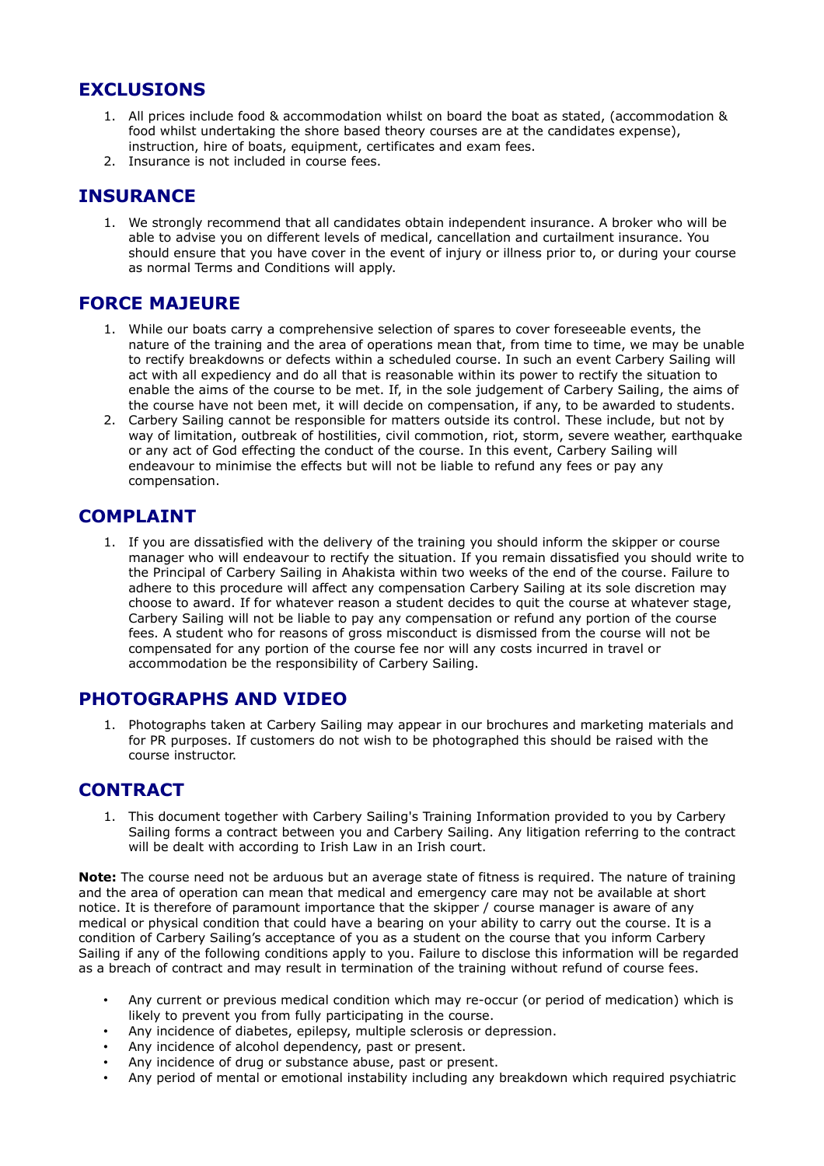#### **EXCLUSIONS**

- 1. All prices include food & accommodation whilst on board the boat as stated, (accommodation & food whilst undertaking the shore based theory courses are at the candidates expense), instruction, hire of boats, equipment, certificates and exam fees.
- 2. Insurance is not included in course fees.

#### **INSURANCE**

1. We strongly recommend that all candidates obtain independent insurance. A broker who will be able to advise you on different levels of medical, cancellation and curtailment insurance. You should ensure that you have cover in the event of injury or illness prior to, or during your course as normal Terms and Conditions will apply.

#### **FORCE MAJEURE**

- 1. While our boats carry a comprehensive selection of spares to cover foreseeable events, the nature of the training and the area of operations mean that, from time to time, we may be unable to rectify breakdowns or defects within a scheduled course. In such an event Carbery Sailing will act with all expediency and do all that is reasonable within its power to rectify the situation to enable the aims of the course to be met. If, in the sole judgement of Carbery Sailing, the aims of the course have not been met, it will decide on compensation, if any, to be awarded to students.
- 2. Carbery Sailing cannot be responsible for matters outside its control. These include, but not by way of limitation, outbreak of hostilities, civil commotion, riot, storm, severe weather, earthquake or any act of God effecting the conduct of the course. In this event, Carbery Sailing will endeavour to minimise the effects but will not be liable to refund any fees or pay any compensation.

#### **COMPLAINT**

1. If you are dissatisfied with the delivery of the training you should inform the skipper or course manager who will endeavour to rectify the situation. If you remain dissatisfied you should write to the Principal of Carbery Sailing in Ahakista within two weeks of the end of the course. Failure to adhere to this procedure will affect any compensation Carbery Sailing at its sole discretion may choose to award. If for whatever reason a student decides to quit the course at whatever stage, Carbery Sailing will not be liable to pay any compensation or refund any portion of the course fees. A student who for reasons of gross misconduct is dismissed from the course will not be compensated for any portion of the course fee nor will any costs incurred in travel or accommodation be the responsibility of Carbery Sailing.

#### **PHOTOGRAPHS AND VIDEO**

1. Photographs taken at Carbery Sailing may appear in our brochures and marketing materials and for PR purposes. If customers do not wish to be photographed this should be raised with the course instructor.

#### **CONTRACT**

1. This document together with Carbery Sailing's Training Information provided to you by Carbery Sailing forms a contract between you and Carbery Sailing. Any litigation referring to the contract will be dealt with according to Irish Law in an Irish court.

**Note:** The course need not be arduous but an average state of fitness is required. The nature of training and the area of operation can mean that medical and emergency care may not be available at short notice. It is therefore of paramount importance that the skipper / course manager is aware of any medical or physical condition that could have a bearing on your ability to carry out the course. It is a condition of Carbery Sailing's acceptance of you as a student on the course that you inform Carbery Sailing if any of the following conditions apply to you. Failure to disclose this information will be regarded as a breach of contract and may result in termination of the training without refund of course fees.

- Any current or previous medical condition which may re-occur (or period of medication) which is likely to prevent you from fully participating in the course.
- Any incidence of diabetes, epilepsy, multiple sclerosis or depression.
- Any incidence of alcohol dependency, past or present.
- Any incidence of drug or substance abuse, past or present.
- Any period of mental or emotional instability including any breakdown which required psychiatric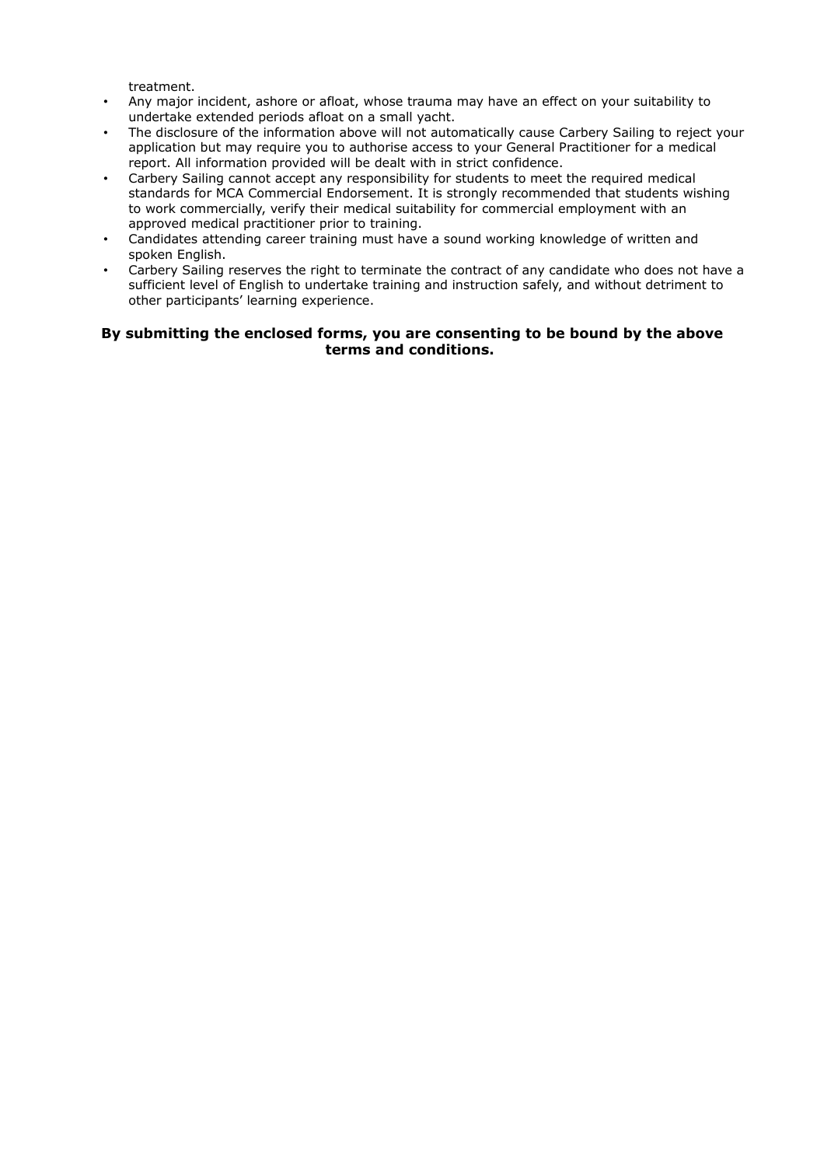treatment.

- Any major incident, ashore or afloat, whose trauma may have an effect on your suitability to undertake extended periods afloat on a small yacht.
- The disclosure of the information above will not automatically cause Carbery Sailing to reject your application but may require you to authorise access to your General Practitioner for a medical report. All information provided will be dealt with in strict confidence.
- Carbery Sailing cannot accept any responsibility for students to meet the required medical standards for MCA Commercial Endorsement. It is strongly recommended that students wishing to work commercially, verify their medical suitability for commercial employment with an approved medical practitioner prior to training.
- Candidates attending career training must have a sound working knowledge of written and spoken English.
- Carbery Sailing reserves the right to terminate the contract of any candidate who does not have a sufficient level of English to undertake training and instruction safely, and without detriment to other participants' learning experience.

#### **By submitting the enclosed forms, you are consenting to be bound by the above terms and conditions.**